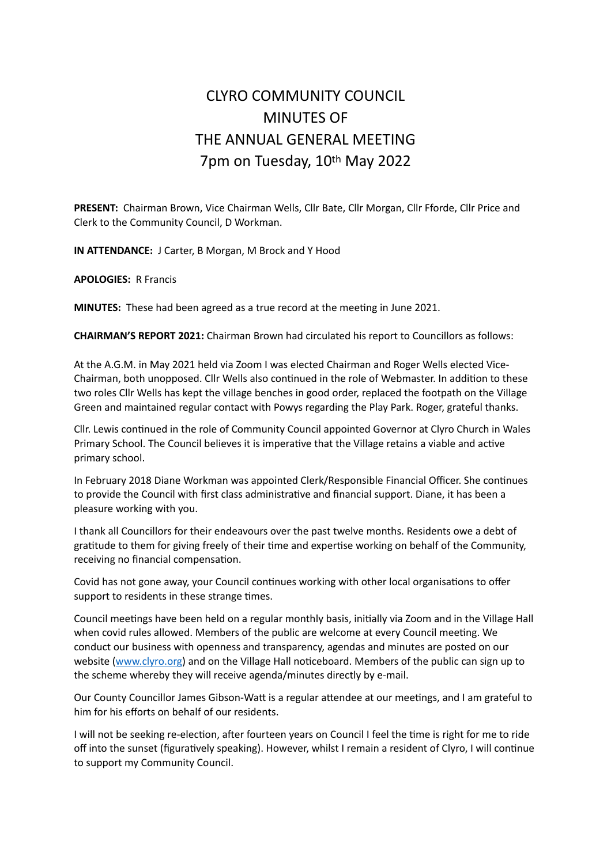## CLYRO COMMUNITY COUNCIL MINUTES OF THE ANNUAL GENERAL MEETING 7pm on Tuesday, 10th May 2022

**PRESENT:** Chairman Brown, Vice Chairman Wells, Cllr Bate, Cllr Morgan, Cllr Fforde, Cllr Price and Clerk to the Community Council, D Workman.

**IN ATTENDANCE:** J Carter, B Morgan, M Brock and Y Hood

**APOLOGIES:** R Francis

**MINUTES:** These had been agreed as a true record at the meeting in June 2021.

**CHAIRMAN'S REPORT 2021:** Chairman Brown had circulated his report to Councillors as follows:

At the A.G.M. in May 2021 held via Zoom I was elected Chairman and Roger Wells elected Vice-Chairman, both unopposed. Cllr Wells also continued in the role of Webmaster. In addition to these two roles Cllr Wells has kept the village benches in good order, replaced the footpath on the Village Green and maintained regular contact with Powys regarding the Play Park. Roger, grateful thanks.

Cllr. Lewis continued in the role of Community Council appointed Governor at Clyro Church in Wales Primary School. The Council believes it is imperative that the Village retains a viable and active primary school.

In February 2018 Diane Workman was appointed Clerk/Responsible Financial Officer. She continues to provide the Council with first class administrative and financial support. Diane, it has been a pleasure working with you.

I thank all Councillors for their endeavours over the past twelve months. Residents owe a debt of gratitude to them for giving freely of their time and expertise working on behalf of the Community, receiving no financial compensation.

Covid has not gone away, your Council continues working with other local organisations to offer support to residents in these strange times.

Council meetings have been held on a regular monthly basis, initially via Zoom and in the Village Hall when covid rules allowed. Members of the public are welcome at every Council meeting. We conduct our business with openness and transparency, agendas and minutes are posted on our website ([www.clyro.org](http://www.clyro.org)) and on the Village Hall noticeboard. Members of the public can sign up to the scheme whereby they will receive agenda/minutes directly by e-mail.

Our County Councillor James Gibson-Watt is a regular attendee at our meetings, and I am grateful to him for his efforts on behalf of our residents.

I will not be seeking re-election, after fourteen years on Council I feel the time is right for me to ride off into the sunset (figuratively speaking). However, whilst I remain a resident of Clyro, I will continue to support my Community Council.